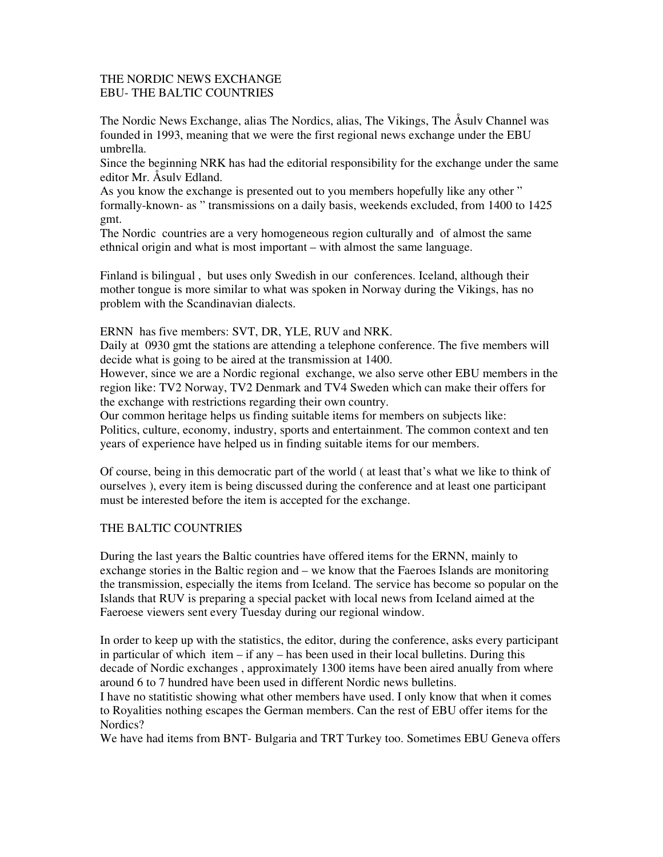## THE NORDIC NEWS EXCHANGE EBU- THE BALTIC COUNTRIES

The Nordic News Exchange, alias The Nordics, alias, The Vikings, The Åsulv Channel was founded in 1993, meaning that we were the first regional news exchange under the EBU umbrella.

Since the beginning NRK has had the editorial responsibility for the exchange under the same editor Mr. Åsulv Edland.

As you know the exchange is presented out to you members hopefully like any other " formally-known- as " transmissions on a daily basis, weekends excluded, from 1400 to 1425 gmt.

The Nordic countries are a very homogeneous region culturally and of almost the same ethnical origin and what is most important – with almost the same language.

Finland is bilingual , but uses only Swedish in our conferences. Iceland, although their mother tongue is more similar to what was spoken in Norway during the Vikings, has no problem with the Scandinavian dialects.

ERNN has five members: SVT, DR, YLE, RUV and NRK.

Daily at 0930 gmt the stations are attending a telephone conference. The five members will decide what is going to be aired at the transmission at 1400.

However, since we are a Nordic regional exchange, we also serve other EBU members in the region like: TV2 Norway, TV2 Denmark and TV4 Sweden which can make their offers for the exchange with restrictions regarding their own country.

Our common heritage helps us finding suitable items for members on subjects like: Politics, culture, economy, industry, sports and entertainment. The common context and ten years of experience have helped us in finding suitable items for our members.

Of course, being in this democratic part of the world ( at least that's what we like to think of ourselves ), every item is being discussed during the conference and at least one participant must be interested before the item is accepted for the exchange.

## THE BALTIC COUNTRIES

During the last years the Baltic countries have offered items for the ERNN, mainly to exchange stories in the Baltic region and – we know that the Faeroes Islands are monitoring the transmission, especially the items from Iceland. The service has become so popular on the Islands that RUV is preparing a special packet with local news from Iceland aimed at the Faeroese viewers sent every Tuesday during our regional window.

In order to keep up with the statistics, the editor, during the conference, asks every participant in particular of which item – if any – has been used in their local bulletins. During this decade of Nordic exchanges , approximately 1300 items have been aired anually from where around 6 to 7 hundred have been used in different Nordic news bulletins.

I have no statitistic showing what other members have used. I only know that when it comes to Royalities nothing escapes the German members. Can the rest of EBU offer items for the Nordics?

We have had items from BNT- Bulgaria and TRT Turkey too. Sometimes EBU Geneva offers